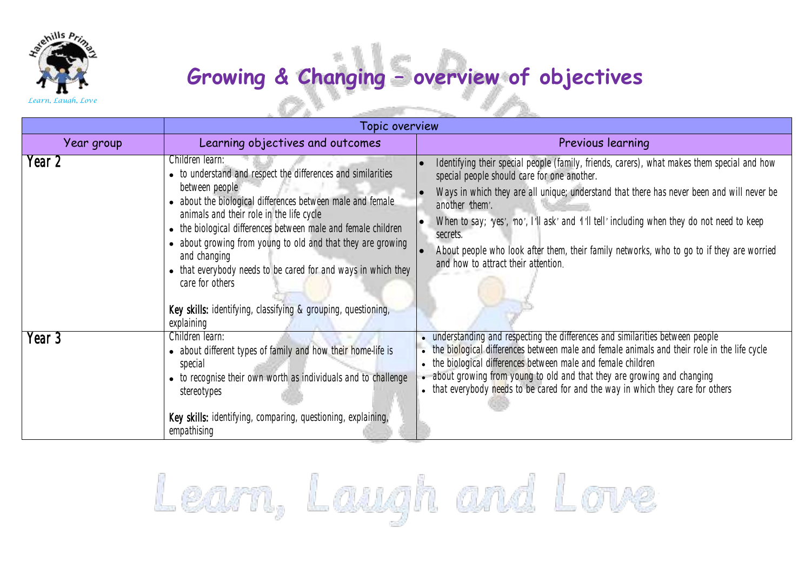

## **Growing & Changing – overview of objectives**

*Learn, Laugh, Love*

| Topic overview |                                                                                                                                                                                                                                                                                                                                                                                                                                                                                                                                |                                                                                                                                                                                                                                                                                                                                                                                                                                                                                                                              |  |
|----------------|--------------------------------------------------------------------------------------------------------------------------------------------------------------------------------------------------------------------------------------------------------------------------------------------------------------------------------------------------------------------------------------------------------------------------------------------------------------------------------------------------------------------------------|------------------------------------------------------------------------------------------------------------------------------------------------------------------------------------------------------------------------------------------------------------------------------------------------------------------------------------------------------------------------------------------------------------------------------------------------------------------------------------------------------------------------------|--|
| Year group     | Learning objectives and outcomes                                                                                                                                                                                                                                                                                                                                                                                                                                                                                               | Previous learning                                                                                                                                                                                                                                                                                                                                                                                                                                                                                                            |  |
| Year 2         | Children learn:<br>• to understand and respect the differences and similarities<br>between people<br>• about the biological differences between male and female<br>animals and their role in the life cycle<br>• the biological differences between male and female children<br>• about growing from young to old and that they are growing<br>and changing<br>• that everybody needs to be cared for and ways in which they<br>care for others<br>Key skills: identifying, classifying & grouping, questioning,<br>explaining | Identifying their special people (family, friends, carers), what makes them special and how<br>special people should care for one another.<br>Ways in which they are all unique; understand that there has never been and will never be<br>$\vert \bullet$<br>another 'them'.<br>When to say; 'yes', 'no', I'll ask' and 'I'll tell' including when they do not need to keep<br>secrets.<br>About people who look after them, their family networks, who to go to if they are worried<br>and how to attract their attention. |  |
| Year 3         | Children learn:<br>• about different types of family and how their home-life is<br>special<br>• to recognise their own worth as individuals and to challenge<br>stereotypes<br>Key skills: identifying, comparing, questioning, explaining,<br>empathising                                                                                                                                                                                                                                                                     | • understanding and respecting the differences and similarities between people<br>• the biological differences between male and female animals and their role in the life cycle<br>• the biological differences between male and female children<br>• about growing from young to old and that they are growing and changing<br>• that everybody needs to be cared for and the way in which they care for others                                                                                                             |  |

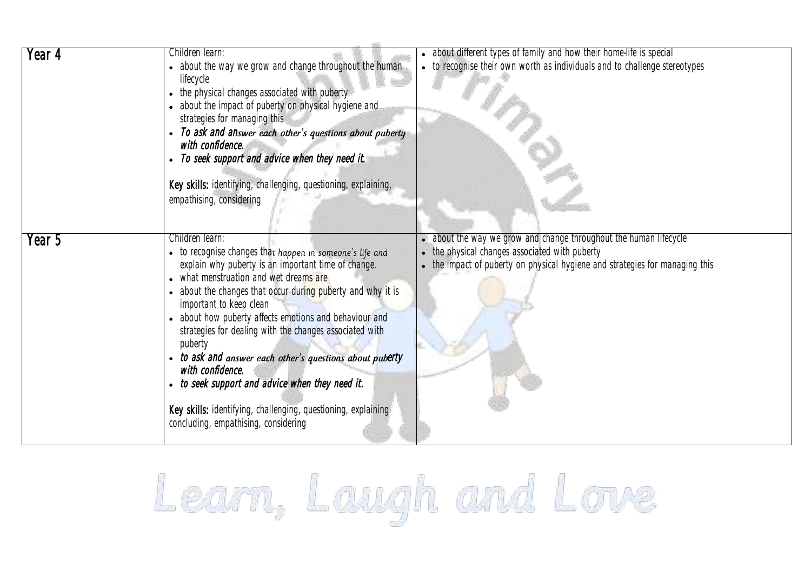| Year 4 | Children learn:<br>• about the way we grow and change throughout the human<br>lifecycle<br>• the physical changes associated with puberty<br>about the impact of puberty on physical hygiene and<br>strategies for managing this<br>• To ask and answer each other's questions about puberty<br>with confidence.<br>• To seek support and advice when they need it.<br>Key skills: identifying, challenging, questioning, explaining,<br>empathising, considering                                                                                                                                                                              | • about different types of family and how their home-life is special<br>• to recognise their own worth as individuals and to challenge stereotypes                                                  |
|--------|------------------------------------------------------------------------------------------------------------------------------------------------------------------------------------------------------------------------------------------------------------------------------------------------------------------------------------------------------------------------------------------------------------------------------------------------------------------------------------------------------------------------------------------------------------------------------------------------------------------------------------------------|-----------------------------------------------------------------------------------------------------------------------------------------------------------------------------------------------------|
| Year 5 | Children learn:<br>• to recognise changes that happen in someone's life and<br>explain why puberty is an important time of change.<br>• what menstruation and wet dreams are<br>about the changes that occur during puberty and why it is<br>important to keep clean<br>• about how puberty affects emotions and behaviour and<br>strategies for dealing with the changes associated with<br>puberty<br>• to ask and answer each other's questions about puberty<br>with confidence.<br>to seek support and advice when they need it.<br>Key skills: identifying, challenging, questioning, explaining<br>concluding, empathising, considering | • about the way we grow and change throughout the human lifecycle<br>• the physical changes associated with puberty<br>• the impact of puberty on physical hygiene and strategies for managing this |

Learn, Laugh and Love